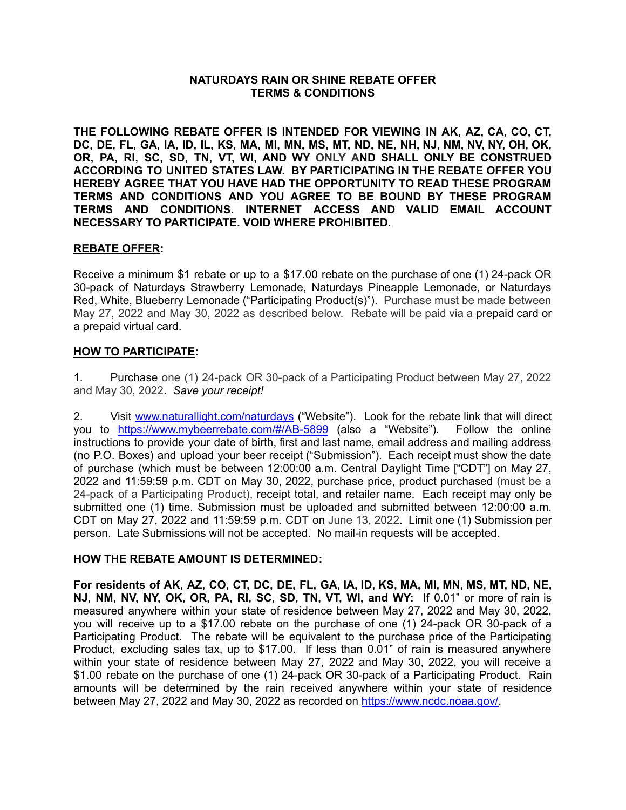#### **NATURDAYS RAIN OR SHINE REBATE OFFER TERMS & CONDITIONS**

**THE FOLLOWING REBATE OFFER IS INTENDED FOR VIEWING IN AK, AZ, CA, CO, CT,** DC, DE, FL, GA, IA, ID, IL, KS, MA, MI, MN, MS, MT, ND, NE, NH, NJ, NM, NV, NY, OH, OK, **OR, PA, RI, SC, SD, TN, VT, WI, AND WY ONLY AND SHALL ONLY BE CONSTRUED ACCORDING TO UNITED STATES LAW. BY PARTICIPATING IN THE REBATE OFFER YOU HEREBY AGREE THAT YOU HAVE HAD THE OPPORTUNITY TO READ THESE PROGRAM TERMS AND CONDITIONS AND YOU AGREE TO BE BOUND BY THESE PROGRAM TERMS AND CONDITIONS. INTERNET ACCESS AND VALID EMAIL ACCOUNT NECESSARY TO PARTICIPATE. VOID WHERE PROHIBITED.**

### **REBATE OFFER:**

Receive a minimum \$1 rebate or up to a \$17.00 rebate on the purchase of one (1) 24-pack OR 30-pack of Naturdays Strawberry Lemonade, Naturdays Pineapple Lemonade, or Naturdays Red, White, Blueberry Lemonade ("Participating Product(s)"). Purchase must be made between May 27, 2022 and May 30, 2022 as described below. Rebate will be paid via a prepaid card or a prepaid virtual card.

# **HOW TO PARTICIPATE:**

1. Purchase one (1) 24-pack OR 30-pack of a Participating Product between May 27, 2022 and May 30, 2022. *Save your receipt!*

2. Visit [www.naturallight.com/naturdays](http://www.naturallight.com/naturdays) ("Website"). Look for the rebate link that will direct you to <https://www.mybeerrebate.com/#/AB-5899> (also a "Website"). Follow the online instructions to provide your date of birth, first and last name, email address and mailing address (no P.O. Boxes) and upload your beer receipt ("Submission"). Each receipt must show the date of purchase (which must be between 12:00:00 a.m. Central Daylight Time ["CDT"] on May 27, 2022 and 11:59:59 p.m. CDT on May 30, 2022, purchase price, product purchased (must be a 24-pack of a Participating Product), receipt total, and retailer name. Each receipt may only be submitted one (1) time. Submission must be uploaded and submitted between 12:00:00 a.m. CDT on May 27, 2022 and 11:59:59 p.m. CDT on June 13, 2022. Limit one (1) Submission per person. Late Submissions will not be accepted. No mail-in requests will be accepted.

### **HOW THE REBATE AMOUNT IS DETERMINED:**

For residents of AK, AZ, CO, CT, DC, DE, FL, GA, IA, ID, KS, MA, MI, MN, MS, MT, ND, NE, **NJ, NM, NV, NY, OK, OR, PA, RI, SC, SD, TN, VT, WI, and WY:** If 0.01" or more of rain is measured anywhere within your state of residence between May 27, 2022 and May 30, 2022, you will receive up to a \$17.00 rebate on the purchase of one (1) 24-pack OR 30-pack of a Participating Product. The rebate will be equivalent to the purchase price of the Participating Product, excluding sales tax, up to \$17.00. If less than 0.01" of rain is measured anywhere within your state of residence between May 27, 2022 and May 30, 2022, you will receive a \$1.00 rebate on the purchase of one (1) 24-pack OR 30-pack of a Participating Product. Rain amounts will be determined by the rain received anywhere within your state of residence between May 27, 2022 and May 30, 2022 as recorded on [https://www.ncdc.noaa.gov/.](https://www.ncdc.noaa.gov/cdo-web/search)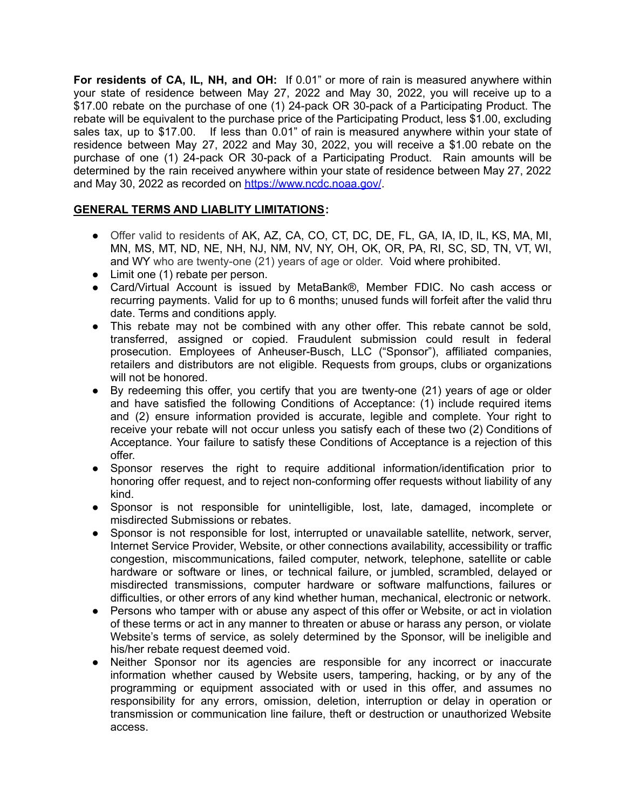**For residents of CA, IL, NH, and OH:** If 0.01" or more of rain is measured anywhere within your state of residence between May 27, 2022 and May 30, 2022, you will receive up to a \$17.00 rebate on the purchase of one (1) 24-pack OR 30-pack of a Participating Product. The rebate will be equivalent to the purchase price of the Participating Product, less \$1.00, excluding sales tax, up to \$17.00. If less than 0.01" of rain is measured anywhere within your state of residence between May 27, 2022 and May 30, 2022, you will receive a \$1.00 rebate on the purchase of one (1) 24-pack OR 30-pack of a Participating Product. Rain amounts will be determined by the rain received anywhere within your state of residence between May 27, 2022 and May 30, 2022 as recorded on [https://www.ncdc.noaa.gov/](https://www.ncdc.noaa.gov/cdo-web/search).

# **GENERAL TERMS AND LIABLITY LIMITATIONS:**

- Offer valid to residents of AK, AZ, CA, CO, CT, DC, DE, FL, GA, IA, ID, IL, KS, MA, MI, MN, MS, MT, ND, NE, NH, NJ, NM, NV, NY, OH, OK, OR, PA, RI, SC, SD, TN, VT, WI, and WY who are twenty-one (21) years of age or older. Void where prohibited.
- Limit one (1) rebate per person.
- Card/Virtual Account is issued by MetaBank®, Member FDIC. No cash access or recurring payments. Valid for up to 6 months; unused funds will forfeit after the valid thru date. Terms and conditions apply.
- This rebate may not be combined with any other offer. This rebate cannot be sold, transferred, assigned or copied. Fraudulent submission could result in federal prosecution. Employees of Anheuser-Busch, LLC ("Sponsor"), affiliated companies, retailers and distributors are not eligible. Requests from groups, clubs or organizations will not be honored.
- By redeeming this offer, you certify that you are twenty-one (21) years of age or older and have satisfied the following Conditions of Acceptance: (1) include required items and (2) ensure information provided is accurate, legible and complete. Your right to receive your rebate will not occur unless you satisfy each of these two (2) Conditions of Acceptance. Your failure to satisfy these Conditions of Acceptance is a rejection of this offer.
- Sponsor reserves the right to require additional information/identification prior to honoring offer request, and to reject non-conforming offer requests without liability of any kind.
- Sponsor is not responsible for unintelligible, lost, late, damaged, incomplete or misdirected Submissions or rebates.
- Sponsor is not responsible for lost, interrupted or unavailable satellite, network, server, Internet Service Provider, Website, or other connections availability, accessibility or traffic congestion, miscommunications, failed computer, network, telephone, satellite or cable hardware or software or lines, or technical failure, or jumbled, scrambled, delayed or misdirected transmissions, computer hardware or software malfunctions, failures or difficulties, or other errors of any kind whether human, mechanical, electronic or network.
- Persons who tamper with or abuse any aspect of this offer or Website, or act in violation of these terms or act in any manner to threaten or abuse or harass any person, or violate Website's terms of service, as solely determined by the Sponsor, will be ineligible and his/her rebate request deemed void.
- Neither Sponsor nor its agencies are responsible for any incorrect or inaccurate information whether caused by Website users, tampering, hacking, or by any of the programming or equipment associated with or used in this offer, and assumes no responsibility for any errors, omission, deletion, interruption or delay in operation or transmission or communication line failure, theft or destruction or unauthorized Website access.